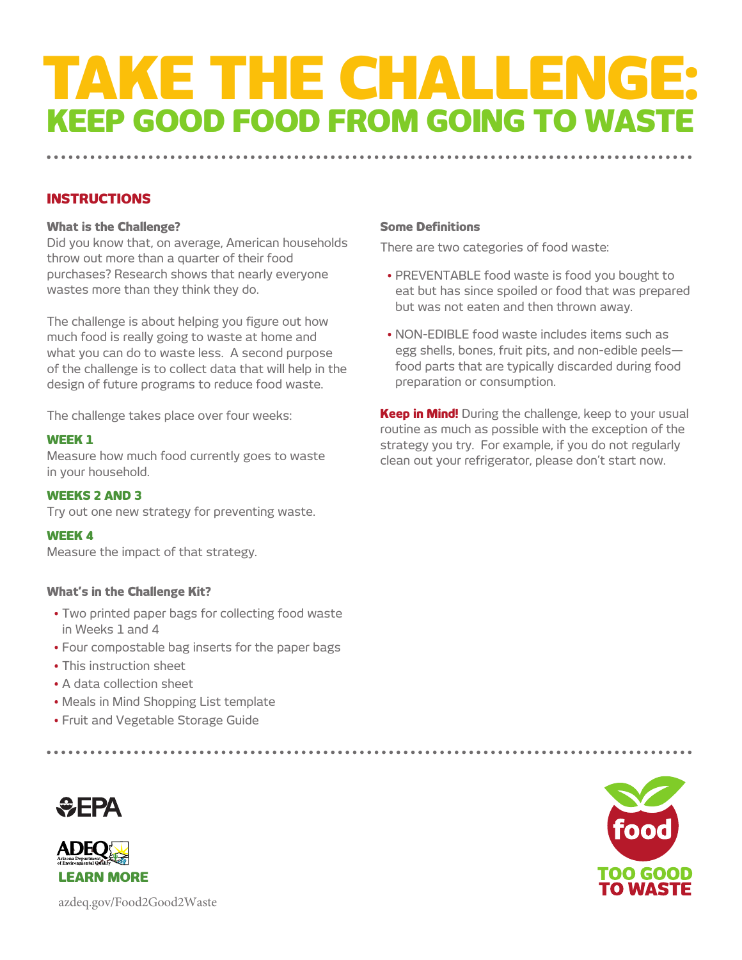# **TAKE THE CHALLENG! KEEP GOOD FOOD FROM GOING TO WAST**

#### **INSTRUCTIONS**

#### **What is the Challenge?**

Did you know that, on average, American households throw out more than a quarter of their food purchases? Research shows that nearly everyone wastes more than they think they do.

The challenge is about helping you figure out how much food is really going to waste at home and what you can do to waste less. A second purpose of the challenge is to collect data that will help in the design of future programs to reduce food waste.

The challenge takes place over four weeks:

#### **WEEK 1**

Measure how much food currently goes to waste in your household.

#### **WEEKS 2 AND 3**

Try out one new strategy for preventing waste.

#### **WEEK 4**

Measure the impact of that strategy.

#### **What's in the Challenge Kit?**

- Two printed paper bags for collecting food waste in Weeks 1 and 4
- Four compostable bag inserts for the paper bags
- This instruction sheet
- A data collection sheet
- Meals in Mind Shopping List template
- Fruit and Vegetable Storage Guide





azdeq.gov/Food2Good2Waste

#### **Some Definitions**

There are two categories of food waste:

- PREVENTABLE food waste is food you bought to eat but has since spoiled or food that was prepared but was not eaten and then thrown away.
- NON-EDIBLE food waste includes items such as egg shells, bones, fruit pits, and non-edible peels food parts that are typically discarded during food preparation or consumption.

**Keep in Mind!** During the challenge, keep to your usual routine as much as possible with the exception of the strategy you try. For example, if you do not regularly clean out your refrigerator, please don't start now.

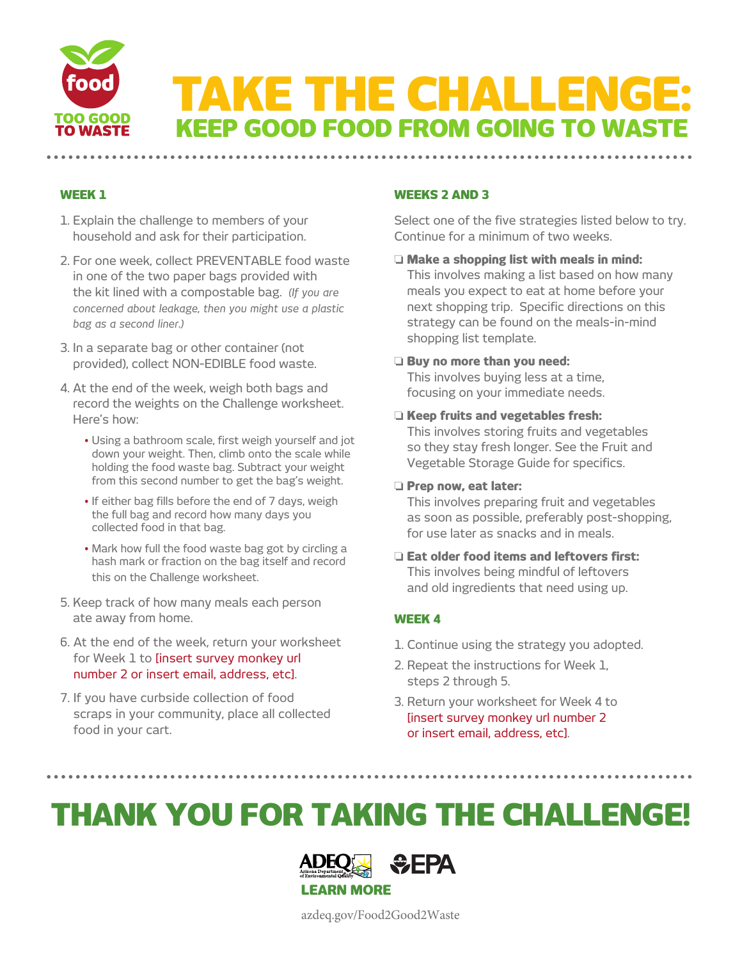

#### **WEEK 1**

- 1. Explain the challenge to members of your household and ask for their participation.
- 2. For one week, collect PREVENTABLE food waste in one of the two paper bags provided with the kit lined with a compostable bag. *(If you are concerned about leakage, then you might use a plastic bag as a second liner.)*
- 3. In a separate bag or other container (not provided), collect NON-EDIBLE food waste.
- 4. At the end of the week, weigh both bags and record the weights on the Challenge worksheet. Here's how:
	- Using a bathroom scale, first weigh yourself and jot down your weight. Then, climb onto the scale while holding the food waste bag. Subtract your weight from this second number to get the bag's weight.
	- If either bag fills before the end of 7 days, weigh the full bag and record how many days you collected food in that bag.
	- Mark how full the food waste bag got by circling a hash mark or fraction on the bag itself and record this on the Challenge worksheet.
- 5. Keep track of how many meals each person ate away from home.
- 6. At the end of the week, return your worksheet for Week 1 to [insert survey monkey url number 2 or insert email, address, etc].
- 7. If you have curbside collection of food scraps in your community, place all collected food in your cart.

#### **WEEKS 2 AND 3**

Select one of the five strategies listed below to try. Continue for a minimum of two weeks.

o **Make a shopping list with meals in mind:** This involves making a list based on how many meals you expect to eat at home before your next shopping trip. Specific directions on this strategy can be found on the meals-in-mind shopping list template.

#### o **Buy no more than you need:**

This involves buying less at a time, focusing on your immediate needs.

o **Keep fruits and vegetables fresh:**

This involves storing fruits and vegetables so they stay fresh longer. See the Fruit and Vegetable Storage Guide for specifics.

#### o **Prep now, eat later:**

This involves preparing fruit and vegetables as soon as possible, preferably post-shopping, for use later as snacks and in meals.

o **Eat older food items and leftovers first:** This involves being mindful of leftovers and old ingredients that need using up.

#### **WEEK 4**

- 1. Continue using the strategy you adopted.
- 2. Repeat the instructions for Week 1, steps 2 through 5.
- 3. Return your worksheet for Week 4 to [insert survey monkey url number 2 or insert email, address, etc].

## **THANK YOU FOR TAKING THE CHALLENGE!**



azdeq.gov/Food2Good2Waste